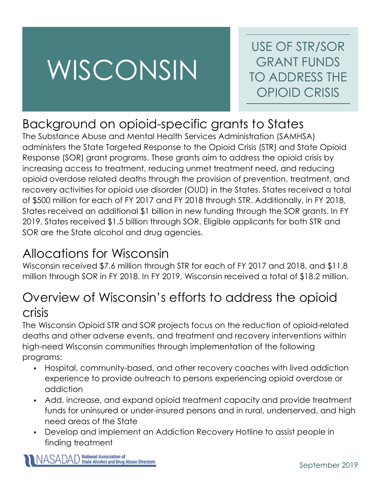# WISCONSIN

USE OF STR/SOR GRANT FUNDS TO ADDRESS THE OPIOID CRISIS

# Background on opioid-specific grants to States

The Substance Abuse and Mental Health Services Administration (SAMHSA) administers the State Targeted Response to the Opioid Crisis (STR) and State Opioid Response (SOR) grant programs. These grants aim to address the opioid crisis by increasing access to treatment, reducing unmet treatment need, and reducing opioid overdose related deaths through the provision of prevention, treatment, and recovery activities for opioid use disorder (OUD) in the States. States received a total of \$500 million for each of FY 2017 and FY 2018 through STR. Additionally, in FY 2018, States received an additional \$1 billion in new funding through the SOR grants. In FY 2019, States received \$1.5 billion through SOR. Eligible applicants for both STR and SOR are the State alcohol and drug agencies.

## Allocations for Wisconsin

Wisconsin received \$7.6 million through STR for each of FY 2017 and 2018, and \$11.8 million through SOR in FY 2018. In FY 2019, Wisconsin received a total of \$18.2 million.

## Overview of Wisconsin's efforts to address the opioid crisis

The Wisconsin Opioid STR and SOR projects focus on the reduction of opioid-related deaths and other adverse events, and treatment and recovery interventions within high-need Wisconsin communities through implementation of the following programs:

- Hospital, community-based, and other recovery coaches with lived addiction experience to provide outreach to persons experiencing opioid overdose or addiction
- Add, increase, and expand opioid treatment capacity and provide treatment funds for uninsured or under-insured persons and in rural, underserved, and high need areas of the State
- Develop and implement an Addiction Recovery Hotline to assist people in finding treatment

ASADAD National Association of<br>ASADAD State Alcohol and Drug Abuse Directors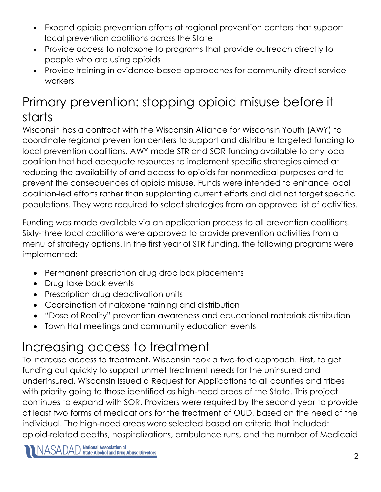- Expand opioid prevention efforts at regional prevention centers that support local prevention coalitions across the State
- Provide access to naloxone to programs that provide outreach directly to people who are using opioids
- Provide training in evidence-based approaches for community direct service workers

## Primary prevention: stopping opioid misuse before it starts

Wisconsin has a contract with the Wisconsin Alliance for Wisconsin Youth (AWY) to coordinate regional prevention centers to support and distribute targeted funding to local prevention coalitions. AWY made STR and SOR funding available to any local coalition that had adequate resources to implement specific strategies aimed at reducing the availability of and access to opioids for nonmedical purposes and to prevent the consequences of opioid misuse. Funds were intended to enhance local coalition-led efforts rather than supplanting current efforts and did not target specific populations. They were required to select strategies from an approved list of activities.

Funding was made available via an application process to all prevention coalitions. Sixty-three local coalitions were approved to provide prevention activities from a menu of strategy options. In the first year of STR funding, the following programs were implemented:

- Permanent prescription drug drop box placements
- Drug take back events
- Prescription drug deactivation units
- Coordination of naloxone training and distribution
- "Dose of Reality" prevention awareness and educational materials distribution
- Town Hall meetings and community education events

# Increasing access to treatment

To increase access to treatment, Wisconsin took a two-fold approach. First, to get funding out quickly to support unmet treatment needs for the uninsured and underinsured, Wisconsin issued a Request for Applications to all counties and tribes with priority going to those identified as high-need areas of the State. This project continues to expand with SOR. Providers were required by the second year to provide at least two forms of medications for the treatment of OUD, based on the need of the individual. The high-need areas were selected based on criteria that included: opioid-related deaths, hospitalizations, ambulance runs, and the number of Medicaid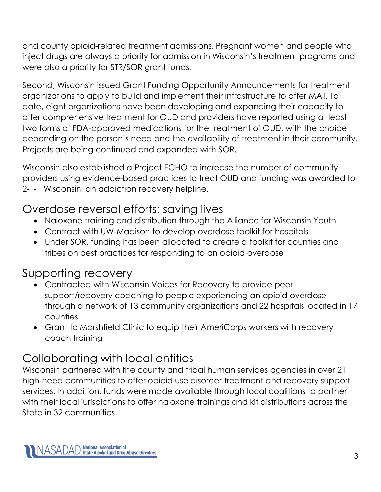and county opioid-related treatment admissions. Pregnant women and people who inject drugs are always a priority for admission in Wisconsin's treatment programs and were also a priority for STR/SOR grant funds.

Second, Wisconsin issued Grant Funding Opportunity Announcements for treatment organizations to apply to build and implement their infrastructure to offer MAT. To date, eight organizations have been developing and expanding their capacity to offer comprehensive treatment for OUD and providers have reported using at least two forms of FDA-approved medications for the treatment of OUD, with the choice depending on the person's need and the availability of treatment in their community. Projects are being continued and expanded with SOR.

Wisconsin also established a Project ECHO to increase the number of community providers using evidence-based practices to treat OUD and funding was awarded to 2-1-1 Wisconsin, an addiction recovery helpline.

#### Overdose reversal efforts: saving lives

- Naloxone training and distribution through the Alliance for Wisconsin Youth
- Contract with UW-Madison to develop overdose toolkit for hospitals
- Under SOR, funding has been allocated to create a toolkit for counties and tribes on best practices for responding to an opioid overdose

#### Supporting recovery

- Contracted with Wisconsin Voices for Recovery to provide peer support/recovery coaching to people experiencing an opioid overdose through a network of 13 community organizations and 22 hospitals located in 17 counties
- Grant to Marshfield Clinic to equip their AmeriCorps workers with recovery coach training

#### Collaborating with local entities

Wisconsin partnered with the county and tribal human services agencies in over 21 high-need communities to offer opioid use disorder treatment and recovery support services. In addition, funds were made available through local coalitions to partner with their local jurisdictions to offer naloxone trainings and kit distributions across the State in 32 communities.